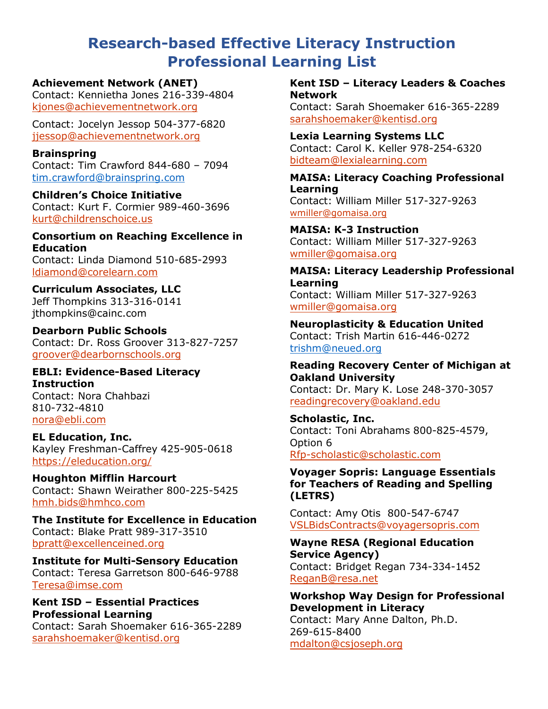# **Research-based Effective Literacy Instruction Professional Learning List**

#### **[Achievement Network \(ANET\)](#page-1-0)**

Contact: Kennietha Jones 216-339-4804 [kjones@achievementnetwork.org](mailto:kjones@achievementnetwork.org)

Contact: Jocelyn Jessop 504-377-6820 [jjessop@achievementnetwork.org](mailto:jjessop@achievementnetwork.org) 

#### **[Brainspring](#page-2-0)**

Contact: Tim Crawford 844-680 – 7094 [tim.crawford@brainspring.com](mailto:tim.crawford@brainspring.com)

**[Children's Choice Initiative](#page-3-0)**  Contact: Kurt F. Cormier 989-460-3696 [kurt@childrenschoice.us](mailto:kurt@childrenschoice.us)

**[Consortium on Reaching Excellence in](#page-4-0)  [Education](#page-4-0)** Contact: Linda Diamond 510-685-2993 [ldiamond@corelearn.com](mailto:ldiamond@corelearn.com)

**[Curriculum Associates, LLC](#page-6-0)**  Jeff Thompkins 313-316-0141

[jthompkins@cainc](mailto:RFPs@cainc.com).com

**[Dearborn Public Schools](#page-7-0)**  Contact: Dr. Ross Groover 313-827-7257 [groover@dearbornschools.org](mailto:groover@dearbornschools.org)

**[EBLI: Evidence-Based Literacy](#page-8-0)  [Instruction](#page-8-0)**  Contact: Nora Chahbazi

810-732-4810 [nora@ebli.com](mailto:nora@ebli.com)

**[EL Education, Inc.](#page-9-0)**  Kayley Freshman-Caffrey 425-905-0618 <https://eleducation.org/>

**[Houghton Mifflin Harcourt](#page-10-0)**  Contact: Shawn Weirather 800-225-5425 [hmh.bids@hmhco.com](mailto:hmh.bids@hmhco.com)

**[The Institute for Excellence in Education](#page-11-0)** Contact: Blake Pratt 989-317-3510 [bpratt@excellenceined.org](mailto:bpratt@excellenceined.org)

**[Institute for Multi-Sensory Education](#page-12-0)** Contact: Teresa Garretson 800-646-9788 [Teresa@imse.com](mailto:Teresa@imse.com) 

# **[Kent ISD – Essential Practices](#page-13-0)  [Professional Learning](#page-13-0)**

Contact: Sarah Shoemaker 616-365-2289 [sarahshoemaker@kentisd.org](mailto:sarahshoemaker@kentisd.org) 

**[Kent ISD – Literacy Leaders & Coaches](#page-14-0) [Network](#page-14-0)**

Contact: Sarah Shoemaker 616-365-2289 [sarahshoemaker@kentisd.org](mailto:sarahshoemaker@kentisd.org)

**[Lexia Learning Systems LLC](#page-15-0)**  Contact: Carol K. Keller 978-254-6320 [bidteam@lexialearning.com](mailto:bidteam@lexialearning.com)

**[MAISA: Literacy Coaching Professional](#page-16-0)  [Learning](#page-16-0)** Contact: William Miller 517-327-9263 [wmiller@gomaisa.org](mailto:wmiller@gomaisa.org)

**[MAISA: K-3 Instruction](#page-17-0)**  Contact: William Miller 517-327-9263 [wmiller@gomaisa.org](mailto:wmiller@gomaisa.org)

**[MAISA: Literacy Leadership Professional](#page-18-0)  [Learning](#page-18-0)** Contact: William Miller 517-327-9263 [wmiller@gomaisa.org](mailto:wmiller@gomaisa.org)

**[Neuroplasticity & Education United](#page-18-1)** Contact: Trish Martin 616-446-0272 [trishm@neued.org](mailto:trishm@neued.org)

**[Reading Recovery Center of Michigan at](#page-20-0) [Oakland University](#page-20-0)** Contact: Dr. Mary K. Lose 248-370-3057

[readingrecovery@oakland.edu](mailto:readingrecovery@oakland.edu)

**[Scholastic, Inc.](#page-21-0)** Contact: Toni Abrahams 800-825-4579, Option 6 [Rfp-scholastic@scholastic.com](mailto:Rfp-scholastic@scholastic.com)

**[Voyager Sopris: Language Essentials](#page-22-0)  for [Teachers of Reading and Spelli](#page-22-0)ng (LETRS)** 

[Contact: Amy Otis](mailto:VSLBidsContracts@voyagersopris.com) 800-547-6747 [VSLBidsContracts@voyagersopris.com](#page-23-0)

**[Wayne RESA \(Re](#page-23-0)gional Education Service Agency)**  [Contact: Bridget R](mailto:ReganB@resa.net)egan 734-334-1452 [ReganB@resa.net](#page-25-0)

**[Workshop Way Design fo](#page-25-0)r Professional Development in Literacy**  Contact: Mary Anne Dalton, Ph.D. [269-615-8400](mailto:mdalton@csjoseph.org) mdalton@csjoseph.org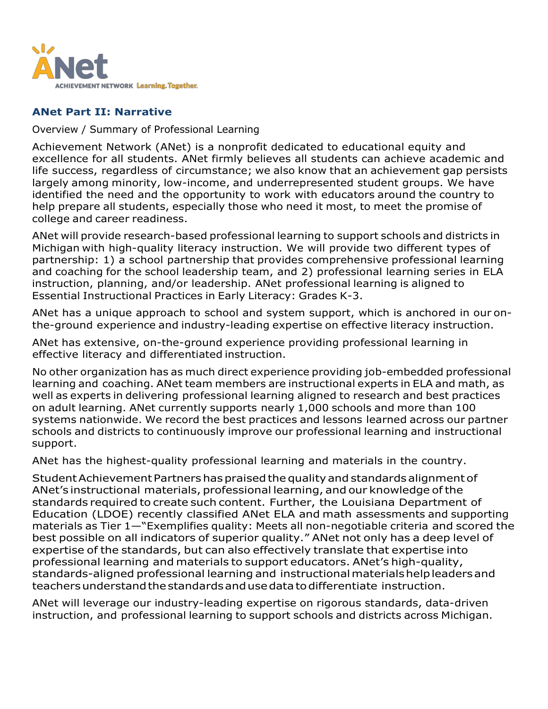

# <span id="page-1-0"></span>**ANet Part II: Narrative**

#### Overview / Summary of Professional Learning

Achievement Network (ANet) is a nonprofit dedicated to educational equity and excellence for all students. ANet firmly believes all students can achieve academic and life success, regardless of circumstance; we also know that an achievement gap persists largely among minority, low-income, and underrepresented student groups. We have identified the need and the opportunity to work with educators around the country to help prepare all students, especially those who need it most, to meet the promise of college and career readiness.

ANet will provide research-based professional learning to support schools and districts in Michigan with high-quality literacy instruction. We will provide two different types of partnership: 1) a school partnership that provides comprehensive professional learning and coaching for the school leadership team, and 2) professional learning series in ELA instruction, planning, and/or leadership. ANet professional learning is aligned to Essential Instructional Practices in Early Literacy: Grades K-3.

ANet has a unique approach to school and system support, which is anchored in our onthe-ground experience and industry-leading expertise on effective literacy instruction.

ANet has extensive, on-the-ground experience providing professional learning in effective literacy and differentiated instruction.

No other organization has as much direct experience providing job-embedded professional learning and coaching. ANet team members are instructional experts in ELA and math, as well as experts in delivering professional learning aligned to research and best practices on adult learning. ANet currently supports nearly 1,000 schools and more than 100 systems nationwide. We record the best practices and lessons learned across our partner schools and districts to continuously improve our professional learning and instructional support.

ANet has the highest-quality professional learning and materials in the country.

StudentAchievementPartnershaspraisedthequalityand standardsalignmentof ANet's instructional materials, professional learning, and our knowledge ofthe standards required to create such content. Further, the Louisiana Department of Education (LDOE) recently classified ANet ELA and math assessments and supporting materials as Tier 1—"Exemplifies quality: Meets all non-negotiable criteria and scored the best possible on all indicators of superior quality." ANet not only has a deep level of expertise of the standards, but can also effectively translate that expertise into professional learning and materials to support educators. ANet's high-quality, standards-aligned professional learning and instructionalmaterialshelpleadersand teachersunderstandthestandardsandusedatatodifferentiate instruction.

ANet will leverage our industry-leading expertise on rigorous standards, data-driven instruction, and professional learning to support schools and districts across Michigan.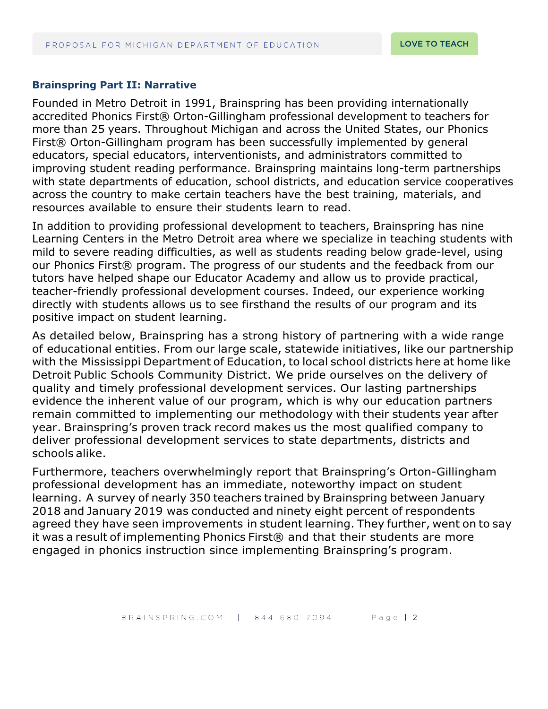#### <span id="page-2-0"></span>**Brainspring Part II: Narrative**

Founded in Metro Detroit in 1991, Brainspring has been providing internationally accredited Phonics First® Orton-Gillingham professional development to teachers for more than 25 years. Throughout Michigan and across the United States, our Phonics First® Orton-Gillingham program has been successfully implemented by general educators, special educators, interventionists, and administrators committed to improving student reading performance. Brainspring maintains long-term partnerships with state departments of education, school districts, and education service cooperatives across the country to make certain teachers have the best training, materials, and resources available to ensure their students learn to read.

In addition to providing professional development to teachers, Brainspring has nine Learning Centers in the Metro Detroit area where we specialize in teaching students with mild to severe reading difficulties, as well as students reading below grade-level, using our Phonics First® program. The progress of our students and the feedback from our tutors have helped shape our Educator Academy and allow us to provide practical, teacher-friendly professional development courses. Indeed, our experience working directly with students allows us to see firsthand the results of our program and its positive impact on student learning.

As detailed below, Brainspring has a strong history of partnering with a wide range of educational entities. From our large scale, statewide initiatives, like our partnership with the Mississippi Department of Education, to local school districts here at home like Detroit Public Schools Community District. We pride ourselves on the delivery of quality and timely professional development services. Our lasting partnerships evidence the inherent value of our program, which is why our education partners remain committed to implementing our methodology with their students year after year. Brainspring's proven track record makes us the most qualified company to deliver professional development services to state departments, districts and schools alike.

Furthermore, teachers overwhelmingly report that Brainspring's Orton-Gillingham professional development has an immediate, noteworthy impact on student learning. A survey of nearly 350 teachers trained by Brainspring between January 2018 and January 2019 was conducted and ninety eight percent of respondents agreed they have seen improvements in student learning. They further, went on to say it was a result of implementing Phonics First® and that their students are more engaged in phonics instruction since implementing Brainspring's program.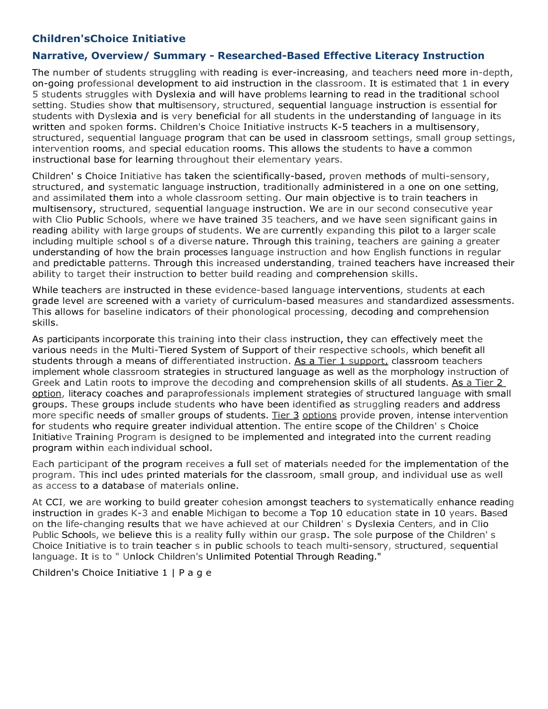# **Children'sChoice Initiative**

#### **Narrative, Overview/ Summary - Researched-Based Effective Literacy Instruction**

<span id="page-3-0"></span>The number of students struggling with reading is ever-increasing, and teachers need more in-depth, on-going professional development to aid instruction in the classroom. It is estimated that 1 in every 5 students struggles with Dyslexia and will have problems learning to read in the traditional school setting. Studies show that multisensory, structured, sequential language instruction is essential for students with Dyslexia and is very beneficial for all students in the understanding of language in its written and spoken forms. Children's Choice Initiative instructs K-5 teachers in a multisensory, structured, sequential language program that can be used in classroom settings, small group settings, intervention rooms, and special education rooms. This allows the students to have a common instructional base for learning throughout their elementary years.

Children' s Choice Initiative has taken the scientifically-based, proven methods of multi-sensory, structured, and systematic language instruction, traditionally administered in a one on one setting, and assimilated them into a whole classroom setting. Our main objective is to train teachers in multisensory, structured, sequential language instruction. We are in our second consecutive year with Clio Public Schools, where we have trained 35 teachers, and we have seen significant gains in reading ability with large groups of students. We are currently expanding this pilot to a larger scale including multiple school s of a diverse nature. Through this training, teachers are gaining a greater understanding of how the brain processes language instruction and how English functions in regular and predictable patterns. Through this increased understanding, trained teachers have increased their ability to target their instruction to better build reading and comprehension skills.

While teachers are instructed in these evidence-based language interventions, students at each grade level are screened with a variety of curriculum-based measures and standardized assessments. This allows for baseline indicators of their phonological processing, decoding and comprehension skills.

As participants incorporate this training into their class instruction, they can effectively meet the various needs in the Multi-Tiered System of Support of their respective schools, which benefit all students through a means of differentiated instruction. As a Tier 1 support, classroom teachers implement whole classroom strategies in structured language as well as the morphology instruction of Greek and Latin roots to improve the decoding and comprehension skills of all students. As a Tier 2 option, literacy coaches and paraprofessionals implement strategies of structured language with small groups. These groups include students who have been identified as struggling readers and address more specific needs of smaller groups of students. Tier 3 options provide proven, intense intervention for students who require greater individual attention. The entire scope of the Children' s Choice Initiative Training Program is designed to be implemented and integrated into the current reading program within each individual school.

Each participant of the program receives a full set of materials needed for the implementation of the program. This incl udes printed materials for the classroom, small group, and individual use as well as access to a database of materials online.

At CCI, we are working to build greater cohesion amongst teachers to systematically enhance reading instruction in grades K-3 and enable Michigan to become a Top 10 education state in 10 years. Based on the life-changing results that we have achieved at our Children' s Dyslexia Centers, and in Clio Public Schools, we believe this is a reality fully within our grasp. The sole purpose of the Children' s Choice Initiative is to train teacher s in public schools to teach multi-sensory, structured, sequential language. It is to " Unlock Children's Unlimited Potential Through Reading."

Children's Choice Initiative 1 | P a g e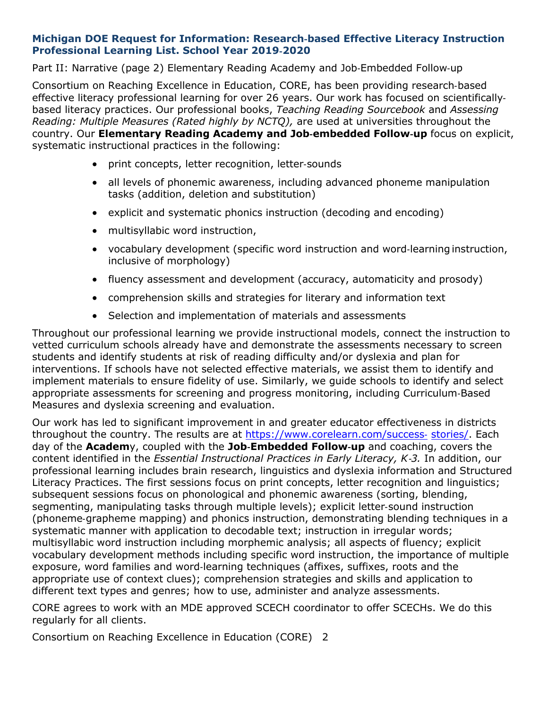#### <span id="page-4-0"></span>**Michigan DOE Request for Information: Research**‐**based Effective Literacy Instruction Professional Learning List. School Year 2019**‐**2020**

Part II: Narrative (page 2) Elementary Reading Academy and Job‐Embedded Follow‐up

Consortium on Reaching Excellence in Education, CORE, has been providing research‐based effective literacy professional learning for over 26 years. Our work has focused on scientifically‐ based literacy practices. Our professional books, *Teaching Reading Sourcebook* and *Assessing Reading: Multiple Measures (Rated highly by NCTQ),* are used at universities throughout the country. Our **Elementary Reading Academy and Job**‐**embedded Follow**‐**up** focus on explicit, systematic instructional practices in the following:

- print concepts, letter recognition, letter‐sounds
- all levels of phonemic awareness, including advanced phoneme manipulation tasks (addition, deletion and substitution)
- explicit and systematic phonics instruction (decoding and encoding)
- multisyllabic word instruction,
- vocabulary development (specific word instruction and word‐learning instruction, inclusive of morphology)
- fluency assessment and development (accuracy, automaticity and prosody)
- comprehension skills and strategies for literary and information text
- Selection and implementation of materials and assessments

Throughout our professional learning we provide instructional models, connect the instruction to vetted curriculum schools already have and demonstrate the assessments necessary to screen students and identify students at risk of reading difficulty and/or dyslexia and plan for interventions. If schools have not selected effective materials, we assist them to identify and implement materials to ensure fidelity of use. Similarly, we guide schools to identify and select appropriate assessments for screening and progress monitoring, including Curriculum‐Based Measures and dyslexia screening and evaluation.

Our work has led to significant improvement in and greater educator effectiveness in districts throughout the country. The results are at [https://www.corelearn.com/success](http://www.corelearn.com/success)‐ stories/. Each day of the **Academ**y, coupled with the **Job**‐**Embedded Follow**‐**up** and coaching, covers the content identified in the *Essential Instructional Practices in Early Literacy, K*‐*3.* In addition, our professional learning includes brain research, linguistics and dyslexia information and Structured Literacy Practices. The first sessions focus on print concepts, letter recognition and linguistics; subsequent sessions focus on phonological and phonemic awareness (sorting, blending, segmenting, manipulating tasks through multiple levels); explicit letter-sound instruction (phoneme‐grapheme mapping) and phonics instruction, demonstrating blending techniques in a systematic manner with application to decodable text; instruction in irregular words; multisyllabic word instruction including morphemic analysis; all aspects of fluency; explicit vocabulary development methods including specific word instruction, the importance of multiple exposure, word families and word‐learning techniques (affixes, suffixes, roots and the appropriate use of context clues); comprehension strategies and skills and application to different text types and genres; how to use, administer and analyze assessments.

CORE agrees to work with an MDE approved SCECH coordinator to offer SCECHs. We do this regularly for all clients.

Consortium on Reaching Excellence in Education (CORE) 2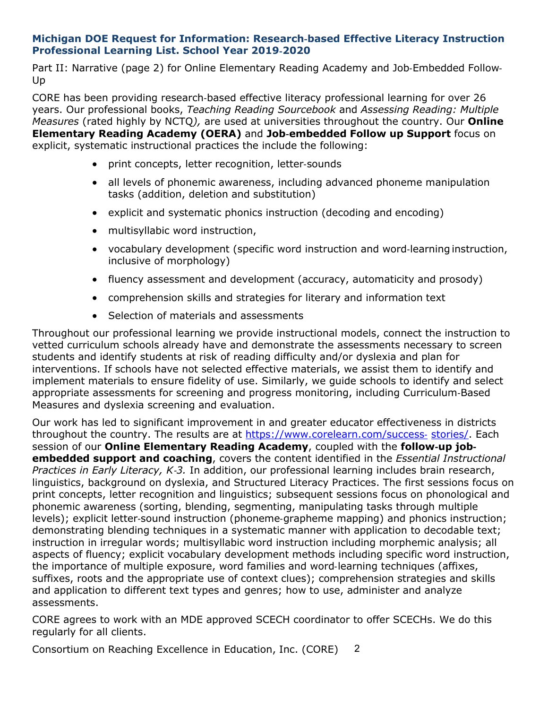#### **Michigan DOE Request for Information: Research**‐**based Effective Literacy Instruction Professional Learning List. School Year 2019**‐**2020**

Part II: Narrative (page 2) for Online Elementary Reading Academy and Job-Embedded Follow-Up

CORE has been providing research‐based effective literacy professional learning for over 26 years. Our professional books, *Teaching Reading Sourcebook* and *Assessing Reading: Multiple Measures* (rated highly by NCTQ*),* are used at universities throughout the country. Our **Online Elementary Reading Academy (OERA)** and **Job**‐**embedded Follow up Support** focus on explicit, systematic instructional practices the include the following:

- print concepts, letter recognition, letter‐sounds
- all levels of phonemic awareness, including advanced phoneme manipulation tasks (addition, deletion and substitution)
- explicit and systematic phonics instruction (decoding and encoding)
- multisyllabic word instruction,
- vocabulary development (specific word instruction and word‐learning instruction, inclusive of morphology)
- fluency assessment and development (accuracy, automaticity and prosody)
- comprehension skills and strategies for literary and information text
- Selection of materials and assessments

Throughout our professional learning we provide instructional models, connect the instruction to vetted curriculum schools already have and demonstrate the assessments necessary to screen students and identify students at risk of reading difficulty and/or dyslexia and plan for interventions. If schools have not selected effective materials, we assist them to identify and implement materials to ensure fidelity of use. Similarly, we guide schools to identify and select appropriate assessments for screening and progress monitoring, including Curriculum‐Based Measures and dyslexia screening and evaluation.

Our work has led to significant improvement in and greater educator effectiveness in districts throughout the country. The results are at [https://www.corelearn.com/success](http://www.corelearn.com/success)- stories/. Each session of our **Online Elementary Reading Academy**, coupled with the **follow**‐**up job**‐ **embedded support and coaching**, covers the content identified in the *Essential Instructional Practices in Early Literacy, K*‐*3.* In addition, our professional learning includes brain research, linguistics, background on dyslexia, and Structured Literacy Practices. The first sessions focus on print concepts, letter recognition and linguistics; subsequent sessions focus on phonological and phonemic awareness (sorting, blending, segmenting, manipulating tasks through multiple levels); explicit letter‐sound instruction (phoneme‐grapheme mapping) and phonics instruction; demonstrating blending techniques in a systematic manner with application to decodable text; instruction in irregular words; multisyllabic word instruction including morphemic analysis; all aspects of fluency; explicit vocabulary development methods including specific word instruction, the importance of multiple exposure, word families and word‐learning techniques (affixes, suffixes, roots and the appropriate use of context clues); comprehension strategies and skills and application to different text types and genres; how to use, administer and analyze assessments.

CORE agrees to work with an MDE approved SCECH coordinator to offer SCECHs. We do this regularly for all clients.

Consortium on Reaching Excellence in Education, Inc. (CORE) 2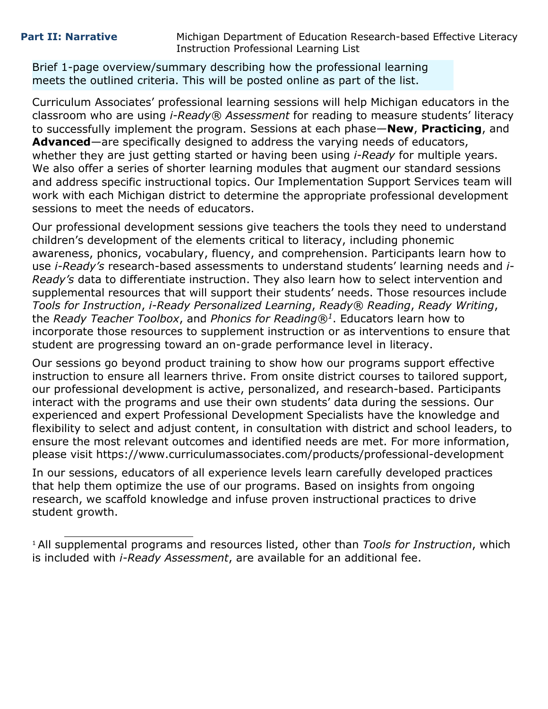<span id="page-6-0"></span>Brief 1-page overview/summary describing how the professional learning meets the outlined criteria. This will be posted online as part of the list.

Curriculum Associates' professional learning sessions will help Michigan educators in the classroom who are using *i-Ready® Assessment* for reading to measure students' literacy to successfully implement the program. Sessions at each phase—**New**, **Practicing**, and **Advanced**—are specifically designed to address the varying needs of educators, whether they are just getting started or having been using *i-Ready* for multiple years. We also offer a series of shorter learning modules that augment our standard sessions and address specific instructional topics. Our Implementation Support Services team will work with each Michigan district to determine the appropriate professional development sessions to meet the needs of educators.

Our professional development sessions give teachers the tools they need to understand children's development of the elements critical to literacy, including phonemic awareness, phonics, vocabulary, fluency, and comprehension. Participants learn how to use *i-Ready's* research-based assessments to understand students' learning needs and *i-Ready's* data to differentiate instruction. They also learn how to select intervention and supplemental resources that will support their students' needs. Those resources include *Tools for Instruction*, *i-Ready Personalized Learning*, *Ready® Reading*, *Ready Writing*, the *Ready Teacher Toolbox*, and *Phonics for Reading®1*. Educators learn how to incorporate those resources to supplement instruction or as interventions to ensure that student are progressing toward an on-grade performance level in literacy.

Our sessions go beyond product training to show how our programs support effective instruction to ensure all learners thrive. From onsite district courses to tailored support, our professional development is active, personalized, and research-based. Participants interact with the programs and use their own students' data during the sessions. Our experienced and expert Professional Development Specialists have the knowledge and flexibility to select and adjust content, in consultation with district and school leaders, to ensure the most relevant outcomes and identified needs are met. For more information, please visit <https://www.curriculumassociates.com/products/professional-development>

In our sessions, educators of all experience levels learn carefully developed practices that help them optimize the use of our programs. Based on insights from ongoing research, we scaffold knowledge and infuse proven instructional practices to drive student growth.

<sup>1</sup> All supplemental programs and resources listed, other than *Tools for Instruction*, which is included with *i-Ready Assessment*, are available for an additional fee.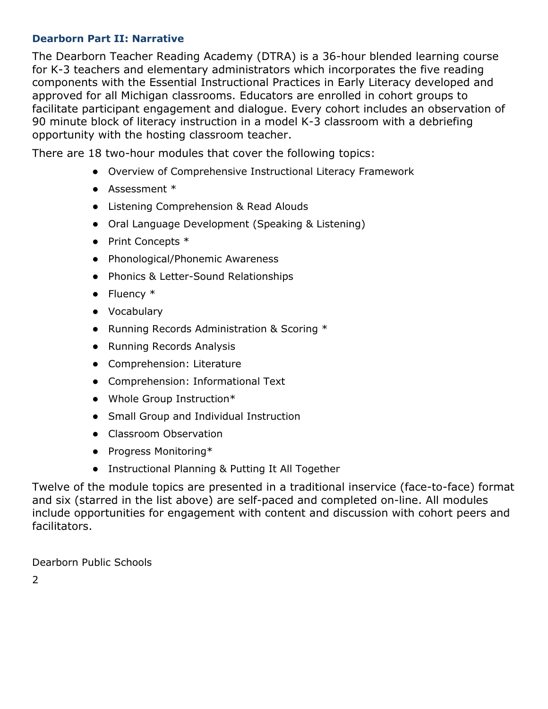# <span id="page-7-0"></span>**Dearborn Part II: Narrative**

The Dearborn Teacher Reading Academy (DTRA) is a 36-hour blended learning course for K-3 teachers and elementary administrators which incorporates the five reading components with the Essential Instructional Practices in Early Literacy developed and approved for all Michigan classrooms. Educators are enrolled in cohort groups to facilitate participant engagement and dialogue. Every cohort includes an observation of 90 minute block of literacy instruction in a model K-3 classroom with a debriefing opportunity with the hosting classroom teacher.

There are 18 two-hour modules that cover the following topics:

- Overview of Comprehensive Instructional Literacy Framework
- Assessment \*
- Listening Comprehension & Read Alouds
- Oral Language Development (Speaking & Listening)
- Print Concepts \*
- Phonological/Phonemic Awareness
- Phonics & Letter-Sound Relationships
- Fluency \*
- Vocabulary
- Running Records Administration & Scoring \*
- Running Records Analysis
- Comprehension: Literature
- Comprehension: Informational Text
- Whole Group Instruction\*
- Small Group and Individual Instruction
- Classroom Observation
- Progress Monitoring\*
- Instructional Planning & Putting It All Together

Twelve of the module topics are presented in a traditional inservice (face-to-face) format and six (starred in the list above) are self-paced and completed on-line. All modules include opportunities for engagement with content and discussion with cohort peers and facilitators.

Dearborn Public Schools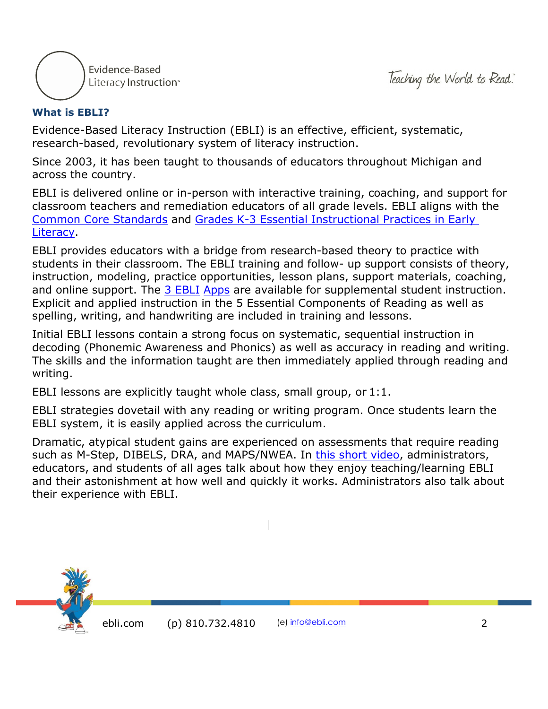



# <span id="page-8-0"></span>**What is EBLI?**

Evidence-Based Literacy Instruction (EBLI) is an effective, efficient, systematic, research-based, revolutionary system of literacy instruction.

Since 2003, it has been taught to thousands of educators throughout Michigan and across the country.

EBLI is delivered online or in-person with interactive training, coaching, and support for classroom teachers and remediation educators of all grade levels. EBLI aligns with the [Common Core Standards](https://eblireads.com/common-core-alignment/) and [Grades K-3 Essential Instructional Practices in Early](https://eblireads.com/literacy-essentials-k-3/)  [Literacy.](https://eblireads.com/literacy-essentials-k-3/)

EBLI provides educators with a bridge from research-based theory to practice with students in their classroom. The EBLI training and follow- up support consists of theory, instruction, modeling, practice opportunities, lesson plans, support materials, coaching, and online support. The [3 EBLI](https://eblireads.com/apps/) [Apps](https://eblireads.com/apps/) are available for supplemental student instruction. Explicit and applied instruction in the 5 Essential Components of Reading as well as spelling, writing, and handwriting are included in training and lessons.

Initial EBLI lessons contain a strong focus on systematic, sequential instruction in decoding (Phonemic Awareness and Phonics) as well as accuracy in reading and writing. The skills and the information taught are then immediately applied through reading and writing.

EBLI lessons are explicitly taught whole class, small group, or 1:1.

EBLI strategies dovetail with any reading or writing program. Once students learn the EBLI system, it is easily applied across the curriculum.

Dramatic, atypical student gains are experienced on assessments that require reading such as M-Step, DIBELS, DRA, and MAPS/NWEA. In [this short video,](https://www.youtube.com/watch?v=lHNj2KW1tn8) administrators, educators, and students of all ages talk about how they enjoy teaching/learning EBLI and their astonishment at how well and quickly it works. Administrators also talk about their experience with EBLI.

 $\overline{\phantom{a}}$ 

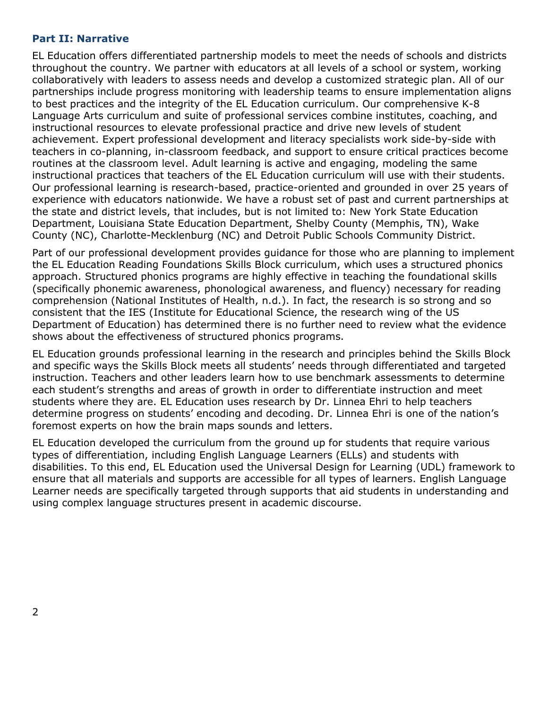#### <span id="page-9-0"></span>**Part II: Narrative**

EL Education offers differentiated partnership models to meet the needs of schools and districts throughout the country. We partner with educators at all levels of a school or system, working collaboratively with leaders to assess needs and develop a customized strategic plan. All of our partnerships include progress monitoring with leadership teams to ensure implementation aligns to best practices and the integrity of the EL Education curriculum. Our comprehensive K-8 Language Arts curriculum and suite of professional services combine institutes, coaching, and instructional resources to elevate professional practice and drive new levels of student achievement. Expert professional development and literacy specialists work side-by-side with teachers in co-planning, in-classroom feedback, and support to ensure critical practices become routines at the classroom level. Adult learning is active and engaging, modeling the same instructional practices that teachers of the EL Education curriculum will use with their students. Our professional learning is research-based, practice-oriented and grounded in over 25 years of experience with educators nationwide. We have a robust set of past and current partnerships at the state and district levels, that includes, but is not limited to: New York State Education Department, Louisiana State Education Department, Shelby County (Memphis, TN), Wake County (NC), Charlotte-Mecklenburg (NC) and Detroit Public Schools Community District.

Part of our professional development provides guidance for those who are planning to implement the EL Education Reading Foundations Skills Block curriculum, which uses a structured phonics approach. Structured phonics programs are highly effective in teaching the foundational skills (specifically phonemic awareness, phonological awareness, and fluency) necessary for reading comprehension (National Institutes of Health, n.d.). In fact, the research is so strong and so consistent that the IES (Institute for Educational Science, the research wing of the US Department of Education) has determined there is no further need to review what the evidence shows about the effectiveness of structured phonics programs.

EL Education grounds professional learning in the research and principles behind the Skills Block and specific ways the Skills Block meets all students' needs through differentiated and targeted instruction. Teachers and other leaders learn how to use benchmark assessments to determine each student's strengths and areas of growth in order to differentiate instruction and meet students where they are. EL Education uses research by Dr. Linnea Ehri to help teachers determine progress on students' encoding and decoding. Dr. Linnea Ehri is one of the nation's foremost experts on how the brain maps sounds and letters.

EL Education developed the curriculum from the ground up for students that require various types of differentiation, including English Language Learners (ELLs) and students with disabilities. To this end, EL Education used the Universal Design for Learning (UDL) framework to ensure that all materials and supports are accessible for all types of learners. English Language Learner needs are specifically targeted through supports that aid students in understanding and using complex language structures present in academic discourse.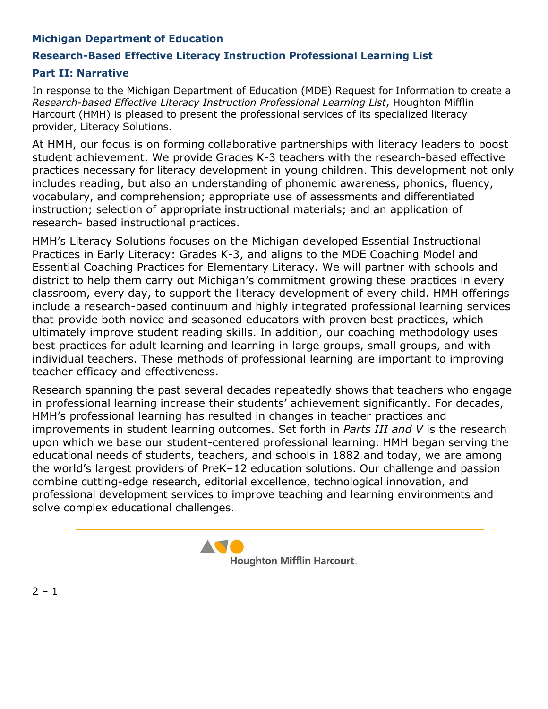# <span id="page-10-0"></span>**Michigan Department of Education**

# **Research-Based Effective Literacy Instruction Professional Learning List**

#### **Part II: Narrative**

In response to the Michigan Department of Education (MDE) Request for Information to create a *Research-based Effective Literacy Instruction Professional Learning List*, Houghton Mifflin Harcourt (HMH) is pleased to present the professional services of its specialized literacy provider, Literacy Solutions.

At HMH, our focus is on forming collaborative partnerships with literacy leaders to boost student achievement. We provide Grades K-3 teachers with the research-based effective practices necessary for literacy development in young children. This development not only includes reading, but also an understanding of phonemic awareness, phonics, fluency, vocabulary, and comprehension; appropriate use of assessments and differentiated instruction; selection of appropriate instructional materials; and an application of research- based instructional practices.

HMH's Literacy Solutions focuses on the Michigan developed Essential Instructional Practices in Early Literacy: Grades K-3, and aligns to the MDE Coaching Model and Essential Coaching Practices for Elementary Literacy. We will partner with schools and district to help them carry out Michigan's commitment growing these practices in every classroom, every day, to support the literacy development of every child. HMH offerings include a research-based continuum and highly integrated professional learning services that provide both novice and seasoned educators with proven best practices, which ultimately improve student reading skills. In addition, our coaching methodology uses best practices for adult learning and learning in large groups, small groups, and with individual teachers. These methods of professional learning are important to improving teacher efficacy and effectiveness.

Research spanning the past several decades repeatedly shows that teachers who engage in professional learning increase their students' achievement significantly. For decades, HMH's professional learning has resulted in changes in teacher practices and improvements in student learning outcomes. Set forth in *Parts III and V* is the research upon which we base our student-centered professional learning. HMH began serving the educational needs of students, teachers, and schools in 1882 and today, we are among the world's largest providers of PreK–12 education solutions. Our challenge and passion combine cutting-edge research, editorial excellence, technological innovation, and professional development services to improve teaching and learning environments and solve complex educational challenges.



 $2 - 1$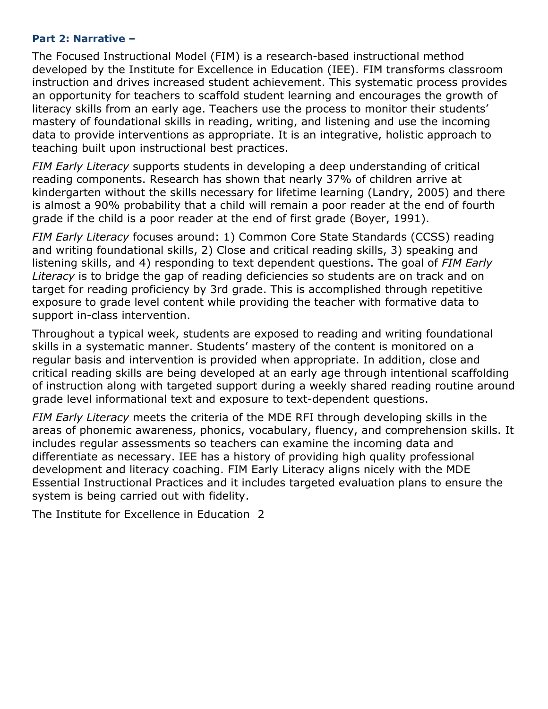#### <span id="page-11-0"></span>**Part 2: Narrative –**

The Focused Instructional Model (FIM) is a research-based instructional method developed by the Institute for Excellence in Education (IEE). FIM transforms classroom instruction and drives increased student achievement. This systematic process provides an opportunity for teachers to scaffold student learning and encourages the growth of literacy skills from an early age. Teachers use the process to monitor their students' mastery of foundational skills in reading, writing, and listening and use the incoming data to provide interventions as appropriate. It is an integrative, holistic approach to teaching built upon instructional best practices.

*FIM Early Literacy* supports students in developing a deep understanding of critical reading components. Research has shown that nearly 37% of children arrive at kindergarten without the skills necessary for lifetime learning (Landry, 2005) and there is almost a 90% probability that a child will remain a poor reader at the end of fourth grade if the child is a poor reader at the end of first grade (Boyer, 1991).

*FIM Early Literacy* focuses around: 1) Common Core State Standards (CCSS) reading and writing foundational skills, 2) Close and critical reading skills, 3) speaking and listening skills, and 4) responding to text dependent questions. The goal of *FIM Early Literacy* is to bridge the gap of reading deficiencies so students are on track and on target for reading proficiency by 3rd grade. This is accomplished through repetitive exposure to grade level content while providing the teacher with formative data to support in-class intervention.

Throughout a typical week, students are exposed to reading and writing foundational skills in a systematic manner. Students' mastery of the content is monitored on a regular basis and intervention is provided when appropriate. In addition, close and critical reading skills are being developed at an early age through intentional scaffolding of instruction along with targeted support during a weekly shared reading routine around grade level informational text and exposure to text-dependent questions.

*FIM Early Literacy* meets the criteria of the MDE RFI through developing skills in the areas of phonemic awareness, phonics, vocabulary, fluency, and comprehension skills. It includes regular assessments so teachers can examine the incoming data and differentiate as necessary. IEE has a history of providing high quality professional development and literacy coaching. FIM Early Literacy aligns nicely with the MDE Essential Instructional Practices and it includes targeted evaluation plans to ensure the system is being carried out with fidelity.

The Institute for Excellence in Education 2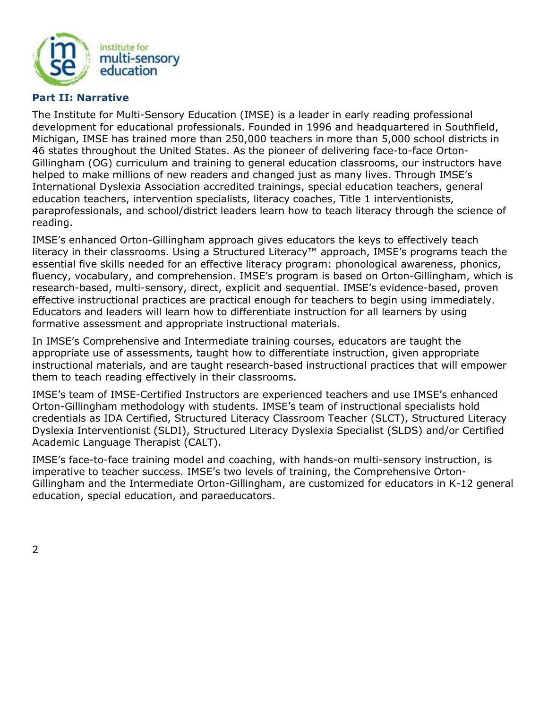

#### <span id="page-12-0"></span>**Part II: Narrative**

The Institute for Multi-Sensory Education (IMSE) is a leader in early reading professional development for educational professionals. Founded in 1996 and headquartered in Southfield, Michigan, IMSE has trained more than 250,000 teachers in more than 5,000 school districts in 46 states throughout the United States. As the pioneer of delivering face-to-face Orton-Gillingham (OG) curriculum and training to general education classrooms, our instructors have helped to make millions of new readers and changed just as many lives. Through IMSE's International Dyslexia Association accredited trainings, special education teachers, general education teachers, intervention specialists, literacy coaches, Title 1 interventionists, paraprofessionals, and school/district leaders learn how to teach literacy through the science of reading.

IMSE's enhanced Orton-Gillingham approach gives educators the keys to effectively teach literacy in their classrooms. Using a Structured Literacy™ approach, IMSE's programs teach the essential five skills needed for an effective literacy program: phonological awareness, phonics, fluency, vocabulary, and comprehension. IMSE's program is based on Orton-Gillingham, which is research-based, multi-sensory, direct, explicit and sequential. IMSE's evidence-based, proven effective instructional practices are practical enough for teachers to begin using immediately. Educators and leaders will learn how to differentiate instruction for all learners by using formative assessment and appropriate instructional materials.

In IMSE's Comprehensive and Intermediate training courses, educators are taught the appropriate use of assessments, taught how to differentiate instruction, given appropriate instructional materials, and are taught research-based instructional practices that will empower them to teach reading effectively in their classrooms.

IMSE's team of IMSE-Certified Instructors are experienced teachers and use IMSE's enhanced Orton-Gillingham methodology with students. IMSE's team of instructional specialists hold credentials as IDA Certified, Structured Literacy Classroom Teacher (SLCT), Structured Literacy Dyslexia Interventionist (SLDI), Structured Literacy Dyslexia Specialist (SLDS) and/or Certified Academic Language Therapist (CALT).

IMSE's face-to-face training model and coaching, with hands-on multi-sensory instruction, is imperative to teacher success. IMSE's two levels of training, the Comprehensive Orton-Gillingham and the Intermediate Orton-Gillingham, are customized for educators in K-12 general education, special education, and paraeducators.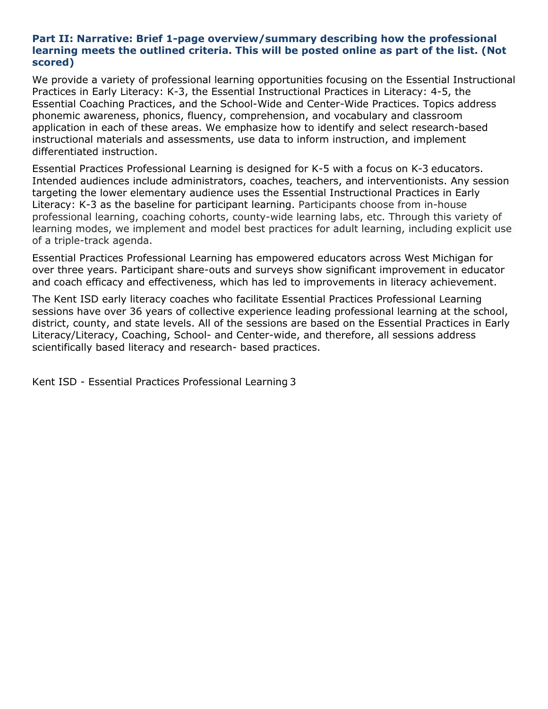#### <span id="page-13-0"></span>**Part II: Narrative: Brief 1-page overview/summary describing how the professional learning meets the outlined criteria. This will be posted online as part of the list. (Not scored)**

We provide a variety of professional learning opportunities focusing on the Essential Instructional Practices in Early Literacy: K-3, the Essential Instructional Practices in Literacy: 4-5, the Essential Coaching Practices, and the School-Wide and Center-Wide Practices. Topics address phonemic awareness, phonics, fluency, comprehension, and vocabulary and classroom application in each of these areas. We emphasize how to identify and select research-based instructional materials and assessments, use data to inform instruction, and implement differentiated instruction.

Essential Practices Professional Learning is designed for K-5 with a focus on K-3 educators. Intended audiences include administrators, coaches, teachers, and interventionists. Any session targeting the lower elementary audience uses the Essential Instructional Practices in Early Literacy: K-3 as the baseline for participant learning. Participants choose from in-house professional learning, coaching cohorts, county-wide learning labs, etc. Through this variety of learning modes, we implement and model best practices for adult learning, including explicit use of a triple-track agenda.

Essential Practices Professional Learning has empowered educators across West Michigan for over three years. Participant share-outs and surveys show significant improvement in educator and coach efficacy and effectiveness, which has led to improvements in literacy achievement.

The Kent ISD early literacy coaches who facilitate Essential Practices Professional Learning sessions have over 36 years of collective experience leading professional learning at the school, district, county, and state levels. All of the sessions are based on the Essential Practices in Early Literacy/Literacy, Coaching, School- and Center-wide, and therefore, all sessions address scientifically based literacy and research- based practices.

Kent ISD - Essential Practices Professional Learning 3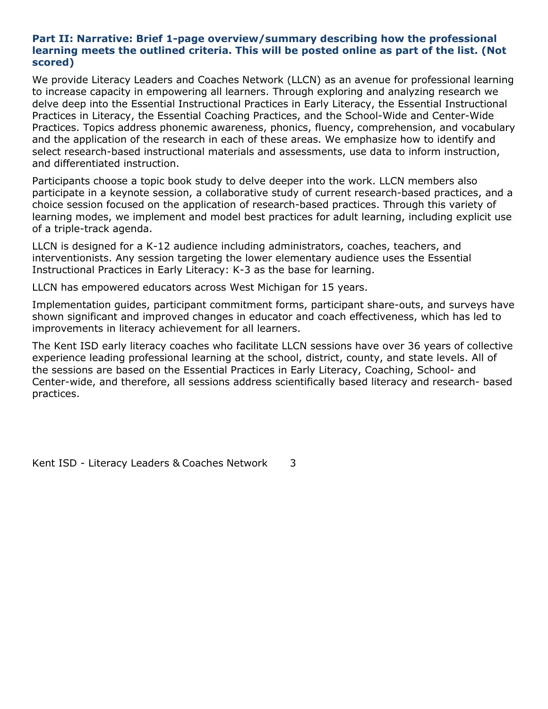#### <span id="page-14-0"></span>**Part II: Narrative: Brief 1-page overview/summary describing how the professional learning meets the outlined criteria. This will be posted online as part of the list. (Not scored)**

We provide Literacy Leaders and Coaches Network (LLCN) as an avenue for professional learning to increase capacity in empowering all learners. Through exploring and analyzing research we delve deep into the Essential Instructional Practices in Early Literacy, the Essential Instructional Practices in Literacy, the Essential Coaching Practices, and the School-Wide and Center-Wide Practices. Topics address phonemic awareness, phonics, fluency, comprehension, and vocabulary and the application of the research in each of these areas. We emphasize how to identify and select research-based instructional materials and assessments, use data to inform instruction, and differentiated instruction.

Participants choose a topic book study to delve deeper into the work. LLCN members also participate in a keynote session, a collaborative study of current research-based practices, and a choice session focused on the application of research-based practices. Through this variety of learning modes, we implement and model best practices for adult learning, including explicit use of a triple-track agenda.

LLCN is designed for a K-12 audience including administrators, coaches, teachers, and interventionists. Any session targeting the lower elementary audience uses the Essential Instructional Practices in Early Literacy: K-3 as the base for learning.

LLCN has empowered educators across West Michigan for 15 years.

Implementation guides, participant commitment forms, participant share-outs, and surveys have shown significant and improved changes in educator and coach effectiveness, which has led to improvements in literacy achievement for all learners.

The Kent ISD early literacy coaches who facilitate LLCN sessions have over 36 years of collective experience leading professional learning at the school, district, county, and state levels. All of the sessions are based on the Essential Practices in Early Literacy, Coaching, School- and Center-wide, and therefore, all sessions address scientifically based literacy and research- based practices.

Kent ISD - Literacy Leaders & Coaches Network 3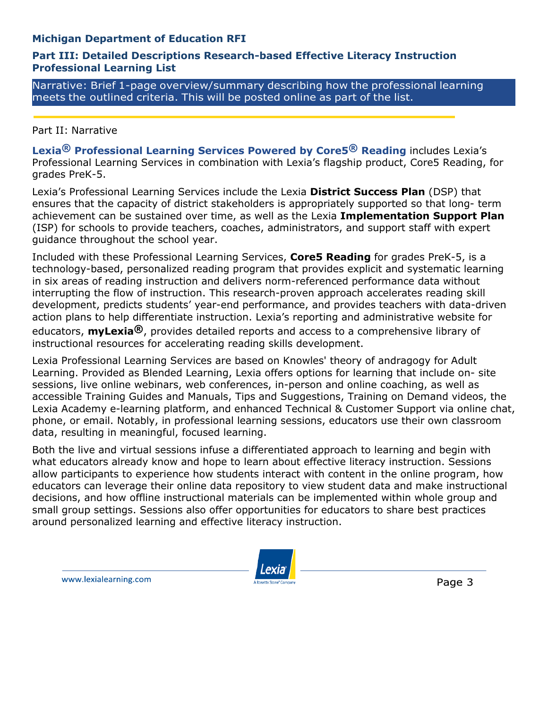# <span id="page-15-0"></span>**Michigan Department of Education RFI**

#### **Part III: Detailed Descriptions Research-based Effective Literacy Instruction Professional Learning List**

Narrative: Brief 1-page overview/summary describing how the professional learning meets the outlined criteria. This will be posted online as part of the list.

#### Part II: Narrative

**Lexia® Professional Learning Services Powered by Core5® Reading** includes Lexia's Professional Learning Services in combination with Lexia's flagship product, Core5 Reading, for grades PreK-5.

Lexia's Professional Learning Services include the Lexia **District Success Plan** (DSP) that ensures that the capacity of district stakeholders is appropriately supported so that long- term achievement can be sustained over time, as well as the Lexia **Implementation Support Plan**  (ISP) for schools to provide teachers, coaches, administrators, and support staff with expert guidance throughout the school year.

Included with these Professional Learning Services, **Core5 Reading** for grades PreK-5, is a technology-based, personalized reading program that provides explicit and systematic learning in six areas of reading instruction and delivers norm-referenced performance data without interrupting the flow of instruction. This research-proven approach accelerates reading skill development, predicts students' year-end performance, and provides teachers with data-driven action plans to help differentiate instruction. Lexia's reporting and administrative website for educators, **myLexia®**, provides detailed reports and access to a comprehensive library of instructional resources for accelerating reading skills development.

Lexia Professional Learning Services are based on Knowles' theory of andragogy for Adult Learning. Provided as Blended Learning, Lexia offers options for learning that include on- site sessions, live online webinars, web conferences, in-person and online coaching, as well as accessible Training Guides and Manuals, Tips and Suggestions, Training on Demand videos, the Lexia Academy e-learning platform, and enhanced Technical & Customer Support via online chat, phone, or email. Notably, in professional learning sessions, educators use their own classroom data, resulting in meaningful, focused learning.

Both the live and virtual sessions infuse a differentiated approach to learning and begin with what educators already know and hope to learn about effective literacy instruction. Sessions allow participants to experience how students interact with content in the online program, how educators can leverage their online data repository to view student data and make instructional decisions, and how offline instructional materials can be implemented within whole group and small group settings. Sessions also offer opportunities for educators to share best practices around personalized learning and effective literacy instruction.



Page 3

www.lexialearning.com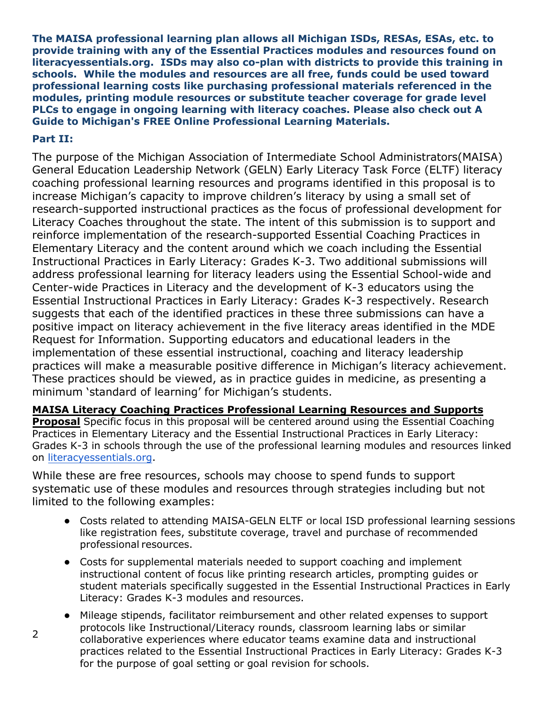<span id="page-16-0"></span>**The MAISA professional learning plan allows all Michigan ISDs, RESAs, ESAs, etc. to provide training with any of the Essential Practices modules and resources found on literacyessentials.org. ISDs may also co-plan with districts to provide this training in schools. While the modules and resources are all free, funds could be used toward professional learning costs like purchasing professional materials referenced in the modules, printing module resources or substitute teacher coverage for grade level PLCs to engage in ongoing learning with literacy coaches. Please also check out A Guide to Michigan's FREE Online Professional Learning Materials.**

# **Part II:**

The purpose of the Michigan Association of Intermediate School Administrators(MAISA) General Education Leadership Network (GELN) Early Literacy Task Force (ELTF) literacy coaching professional learning resources and programs identified in this proposal is to increase Michigan's capacity to improve children's literacy by using a small set of research-supported instructional practices as the focus of professional development for Literacy Coaches throughout the state. The intent of this submission is to support and reinforce implementation of the research-supported Essential Coaching Practices in Elementary Literacy and the content around which we coach including the Essential Instructional Practices in Early Literacy: Grades K-3. Two additional submissions will address professional learning for literacy leaders using the Essential School-wide and Center-wide Practices in Literacy and the development of K-3 educators using the Essential Instructional Practices in Early Literacy: Grades K-3 respectively. Research suggests that each of the identified practices in these three submissions can have a positive impact on literacy achievement in the five literacy areas identified in the MDE Request for Information. Supporting educators and educational leaders in the implementation of these essential instructional, coaching and literacy leadership practices will make a measurable positive difference in Michigan's literacy achievement. These practices should be viewed, as in practice guides in medicine, as presenting a minimum 'standard of learning' for Michigan's students.

#### **MAISA Literacy Coaching Practices Professional Learning Resources and Supports**

**Proposal** Specific focus in this proposal will be centered around using the Essential Coaching Practices in Elementary Literacy and the Essential Instructional Practices in Early Literacy: Grades K-3 in schools through the use of the professional learning modules and resources linked on literacyessentials.org.

While these are free resources, schools may choose to spend funds to support systematic use of these modules and resources through strategies including but not limited to the following examples:

- Costs related to attending MAISA-GELN ELTF or local ISD professional learning sessions like registration fees, substitute coverage, travel and purchase of recommended professional resources.
- Costs for supplemental materials needed to support coaching and implement instructional content of focus like printing research articles, prompting guides or student materials specifically suggested in the Essential Instructional Practices in Early Literacy: Grades K-3 modules and resources.
- Mileage stipends, facilitator reimbursement and other related expenses to support protocols like Instructional/Literacy rounds, classroom learning labs or similar collaborative experiences where educator teams examine data and instructional practices related to the Essential Instructional Practices in Early Literacy: Grades K-3 for the purpose of goal setting or goal revision for schools.

2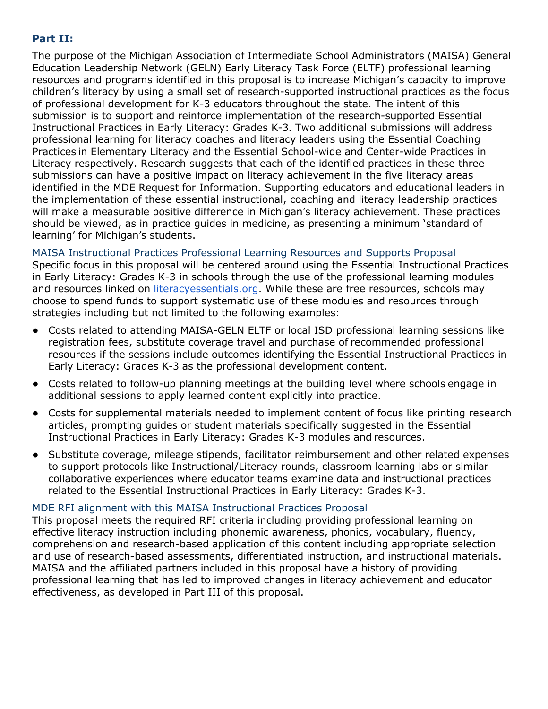# <span id="page-17-0"></span>**Part II:**

The purpose of the Michigan Association of Intermediate School Administrators (MAISA) General Education Leadership Network (GELN) Early Literacy Task Force (ELTF) professional learning resources and programs identified in this proposal is to increase Michigan's capacity to improve children's literacy by using a small set of research-supported instructional practices as the focus of professional development for K-3 educators throughout the state. The intent of this submission is to support and reinforce implementation of the research-supported Essential Instructional Practices in Early Literacy: Grades K-3. Two additional submissions will address professional learning for literacy coaches and literacy leaders using the Essential Coaching Practices in Elementary Literacy and the Essential School-wide and Center-wide Practices in Literacy respectively. Research suggests that each of the identified practices in these three submissions can have a positive impact on literacy achievement in the five literacy areas identified in the MDE Request for Information. Supporting educators and educational leaders in the implementation of these essential instructional, coaching and literacy leadership practices will make a measurable positive difference in Michigan's literacy achievement. These practices should be viewed, as in practice guides in medicine, as presenting a minimum 'standard of learning' for Michigan's students.

MAISA Instructional Practices Professional Learning Resources and Supports Proposal Specific focus in this proposal will be centered around using the Essential Instructional Practices in Early Literacy: Grades K-3 in schools through the use of the professional learning modules and resources linked on literacyessentials.org. While these are free resources, schools may choose to spend funds to support systematic use of these modules and resources through strategies including but not limited to the following examples:

- Costs related to attending MAISA-GELN ELTF or local ISD professional learning sessions like registration fees, substitute coverage travel and purchase of recommended professional resources if the sessions include outcomes identifying the Essential Instructional Practices in Early Literacy: Grades K-3 as the professional development content.
- Costs related to follow-up planning meetings at the building level where schools engage in additional sessions to apply learned content explicitly into practice.
- Costs for supplemental materials needed to implement content of focus like printing research articles, prompting guides or student materials specifically suggested in the Essential Instructional Practices in Early Literacy: Grades K-3 modules and resources.
- Substitute coverage, mileage stipends, facilitator reimbursement and other related expenses to support protocols like Instructional/Literacy rounds, classroom learning labs or similar collaborative experiences where educator teams examine data and instructional practices related to the Essential Instructional Practices in Early Literacy: Grades K-3.

#### MDE RFI alignment with this MAISA Instructional Practices Proposal

This proposal meets the required RFI criteria including providing professional learning on effective literacy instruction including phonemic awareness, phonics, vocabulary, fluency, comprehension and research-based application of this content including appropriate selection and use of research-based assessments, differentiated instruction, and instructional materials. MAISA and the affiliated partners included in this proposal have a history of providing professional learning that has led to improved changes in literacy achievement and educator effectiveness, as developed in Part III of this proposal.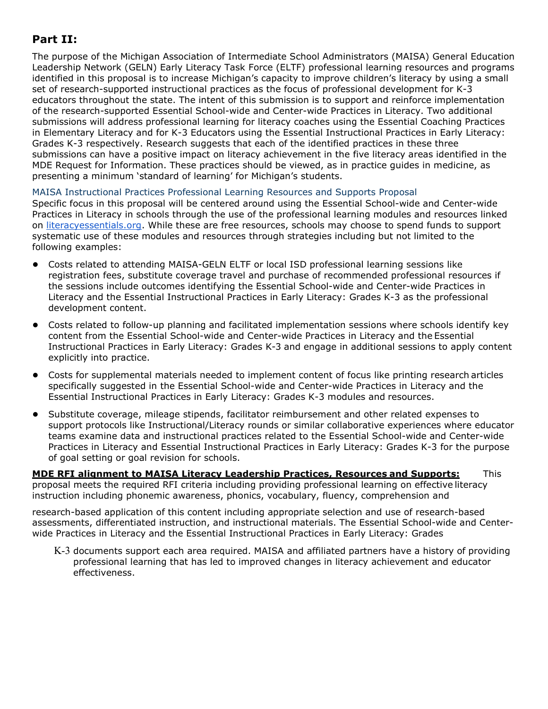# **Part II:**

The purpose of the Michigan Association of Intermediate School Administrators (MAISA) General Education Leadership Network (GELN) Early Literacy Task Force (ELTF) professional learning resources and programs identified in this proposal is to increase Michigan's capacity to improve children's literacy by using a small set of research-supported instructional practices as the focus of professional development for K-3 educators throughout the state. The intent of this submission is to support and reinforce implementation of the research-supported Essential School-wide and Center-wide Practices in Literacy. Two additional submissions will address professional learning for literacy coaches using the Essential Coaching Practices in Elementary Literacy and for K-3 Educators using the Essential Instructional Practices in Early Literacy: Grades K-3 respectively. Research suggests that each of the identified practices in these three submissions can have a positive impact on literacy achievement in the five literacy areas identified in the MDE Request for Information. These practices should be viewed, as in practice guides in medicine, as presenting a minimum 'standard of learning' for Michigan's students.

#### <span id="page-18-0"></span>MAISA Instructional Practices Professional Learning Resources and Supports Proposal

Specific focus in this proposal will be centered around using the Essential School-wide and Center-wide Practices in Literacy in schools through the use of the professional learning modules and resources linked on literacyessentials.org. While these are free resources, schools may choose to spend funds to support systematic use of these modules and resources through strategies including but not limited to the following examples:

- Costs related to attending MAISA-GELN ELTF or local ISD professional learning sessions like registration fees, substitute coverage travel and purchase of recommended professional resources if the sessions include outcomes identifying the Essential School-wide and Center-wide Practices in Literacy and the Essential Instructional Practices in Early Literacy: Grades K-3 as the professional development content.
- Costs related to follow-up planning and facilitated implementation sessions where schools identify key content from the Essential School-wide and Center-wide Practices in Literacy and the Essential Instructional Practices in Early Literacy: Grades K-3 and engage in additional sessions to apply content explicitly into practice.
- Costs for supplemental materials needed to implement content of focus like printing research articles specifically suggested in the Essential School-wide and Center-wide Practices in Literacy and the Essential Instructional Practices in Early Literacy: Grades K-3 modules and resources.
- Substitute coverage, mileage stipends, facilitator reimbursement and other related expenses to support protocols like Instructional/Literacy rounds or similar collaborative experiences where educator teams examine data and instructional practices related to the Essential School-wide and Center-wide Practices in Literacy and Essential Instructional Practices in Early Literacy: Grades K-3 for the purpose of goal setting or goal revision for schools.

**MDE RFI alignment to MAISA Literacy Leadership Practices, Resources and Supports:** This proposal meets the required RFI criteria including providing professional learning on effective literacy instruction including phonemic awareness, phonics, vocabulary, fluency, comprehension and

research-based application of this content including appropriate selection and use of research-based assessments, differentiated instruction, and instructional materials. The Essential School-wide and Centerwide Practices in Literacy and the Essential Instructional Practices in Early Literacy: Grades

<span id="page-18-1"></span>K-3 documents support each area required. MAISA and affiliated partners have a history of providing professional learning that has led to improved changes in literacy achievement and educator effectiveness.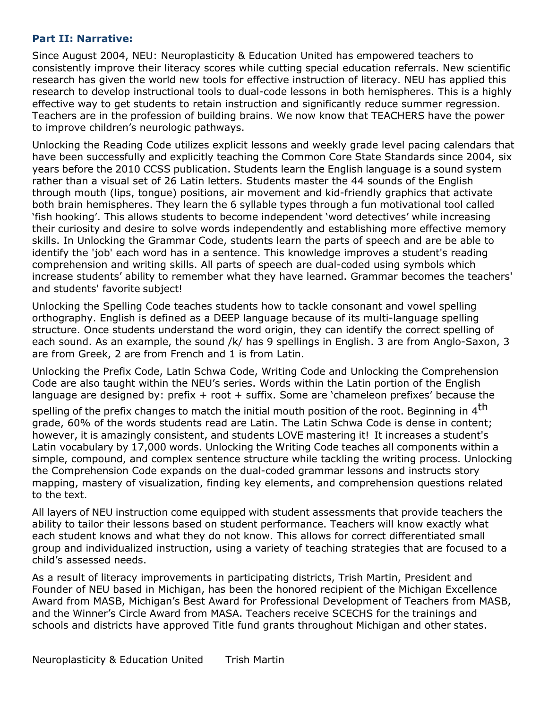#### **Part II: Narrative:**

Since August 2004, NEU: Neuroplasticity & Education United has empowered teachers to consistently improve their literacy scores while cutting special education referrals. New scientific research has given the world new tools for effective instruction of literacy. NEU has applied this research to develop instructional tools to dual-code lessons in both hemispheres. This is a highly effective way to get students to retain instruction and significantly reduce summer regression. Teachers are in the profession of building brains. We now know that TEACHERS have the power to improve children's neurologic pathways.

Unlocking the Reading Code utilizes explicit lessons and weekly grade level pacing calendars that have been successfully and explicitly teaching the Common Core State Standards since 2004, six years before the 2010 CCSS publication. Students learn the English language is a sound system rather than a visual set of 26 Latin letters. Students master the 44 sounds of the English through mouth (lips, tongue) positions, air movement and kid-friendly graphics that activate both brain hemispheres. They learn the 6 syllable types through a fun motivational tool called 'fish hooking'. This allows students to become independent 'word detectives' while increasing their curiosity and desire to solve words independently and establishing more effective memory skills. In Unlocking the Grammar Code, students learn the parts of speech and are be able to identify the 'job' each word has in a sentence. This knowledge improves a student's reading comprehension and writing skills. All parts of speech are dual-coded using symbols which increase students' ability to remember what they have learned. Grammar becomes the teachers' and students' favorite subject!

Unlocking the Spelling Code teaches students how to tackle consonant and vowel spelling orthography. English is defined as a DEEP language because of its multi-language spelling structure. Once students understand the word origin, they can identify the correct spelling of each sound. As an example, the sound /k/ has 9 spellings in English. 3 are from Anglo-Saxon, 3 are from Greek, 2 are from French and 1 is from Latin.

Unlocking the Prefix Code, Latin Schwa Code, Writing Code and Unlocking the Comprehension Code are also taught within the NEU's series. Words within the Latin portion of the English language are designed by: prefix  $+$  root  $+$  suffix. Some are 'chameleon prefixes' because the

spelling of the prefix changes to match the initial mouth position of the root. Beginning in 4<sup>th</sup> grade, 60% of the words students read are Latin. The Latin Schwa Code is dense in content; however, it is amazingly consistent, and students LOVE mastering it! It increases a student's Latin vocabulary by 17,000 words. Unlocking the Writing Code teaches all components within a simple, compound, and complex sentence structure while tackling the writing process. Unlocking the Comprehension Code expands on the dual-coded grammar lessons and instructs story mapping, mastery of visualization, finding key elements, and comprehension questions related to the text.

All layers of NEU instruction come equipped with student assessments that provide teachers the ability to tailor their lessons based on student performance. Teachers will know exactly what each student knows and what they do not know. This allows for correct differentiated small group and individualized instruction, using a variety of teaching strategies that are focused to a child's assessed needs.

As a result of literacy improvements in participating districts, Trish Martin, President and Founder of NEU based in Michigan, has been the honored recipient of the Michigan Excellence Award from MASB, Michigan's Best Award for Professional Development of Teachers from MASB, and the Winner's Circle Award from MASA. Teachers receive SCECHS for the trainings and schools and districts have approved Title fund grants throughout Michigan and other states.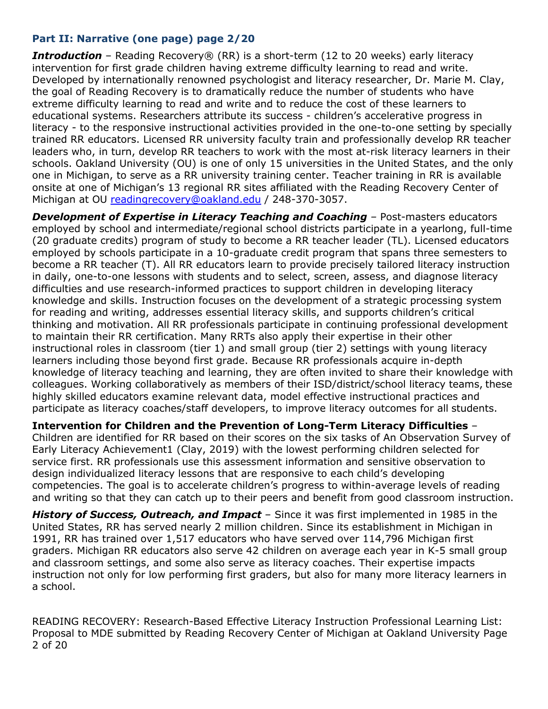# <span id="page-20-0"></span>**Part II: Narrative (one page) page 2/20**

**Introduction** – Reading Recovery® (RR) is a short-term (12 to 20 weeks) early literacy intervention for first grade children having extreme difficulty learning to read and write. Developed by internationally renowned psychologist and literacy researcher, Dr. Marie M. Clay, the goal of Reading Recovery is to dramatically reduce the number of students who have extreme difficulty learning to read and write and to reduce the cost of these learners to educational systems. Researchers attribute its success - children's accelerative progress in literacy - to the responsive instructional activities provided in the one-to-one setting by specially trained RR educators. Licensed RR university faculty train and professionally develop RR teacher leaders who, in turn, develop RR teachers to work with the most at-risk literacy learners in their schools. Oakland University (OU) is one of only 15 universities in the United States, and the only one in Michigan, to serve as a RR university training center. Teacher training in RR is available onsite at one of Michigan's 13 regional RR sites affiliated with the Reading Recovery Center of Michigan at OU [readingrecovery@oakland.edu](mailto:readingrecovery@oakland.edu) / 248-370-3057.

**Development of Expertise in Literacy Teaching and Coaching - Post-masters educators** employed by school and intermediate/regional school districts participate in a yearlong, full-time (20 graduate credits) program of study to become a RR teacher leader (TL). Licensed educators employed by schools participate in a 10-graduate credit program that spans three semesters to become a RR teacher (T). All RR educators learn to provide precisely tailored literacy instruction in daily, one-to-one lessons with students and to select, screen, assess, and diagnose literacy difficulties and use research-informed practices to support children in developing literacy knowledge and skills. Instruction focuses on the development of a strategic processing system for reading and writing, addresses essential literacy skills, and supports children's critical thinking and motivation. All RR professionals participate in continuing professional development to maintain their RR certification. Many RRTs also apply their expertise in their other instructional roles in classroom (tier 1) and small group (tier 2) settings with young literacy learners including those beyond first grade. Because RR professionals acquire in-depth knowledge of literacy teaching and learning, they are often invited to share their knowledge with colleagues. Working collaboratively as members of their ISD/district/school literacy teams, these highly skilled educators examine relevant data, model effective instructional practices and participate as literacy coaches/staff developers, to improve literacy outcomes for all students.

**Intervention for Children and the Prevention of Long-Term Literacy Difficulties** – Children are identified for RR based on their scores on the six tasks of An Observation Survey of Early Literacy Achievement1 (Clay, 2019) with the lowest performing children selected for service first. RR professionals use this assessment information and sensitive observation to design individualized literacy lessons that are responsive to each child's developing competencies. The goal is to accelerate children's progress to within-average levels of reading and writing so that they can catch up to their peers and benefit from good classroom instruction.

*History of Success, Outreach, and Impact* – Since it was first implemented in 1985 in the United States, RR has served nearly 2 million children. Since its establishment in Michigan in 1991, RR has trained over 1,517 educators who have served over 114,796 Michigan first graders. Michigan RR educators also serve 42 children on average each year in K-5 small group and classroom settings, and some also serve as literacy coaches. Their expertise impacts instruction not only for low performing first graders, but also for many more literacy learners in a school.

READING RECOVERY: Research-Based Effective Literacy Instruction Professional Learning List: Proposal to MDE submitted by Reading Recovery Center of Michigan at Oakland University Page 2 of 20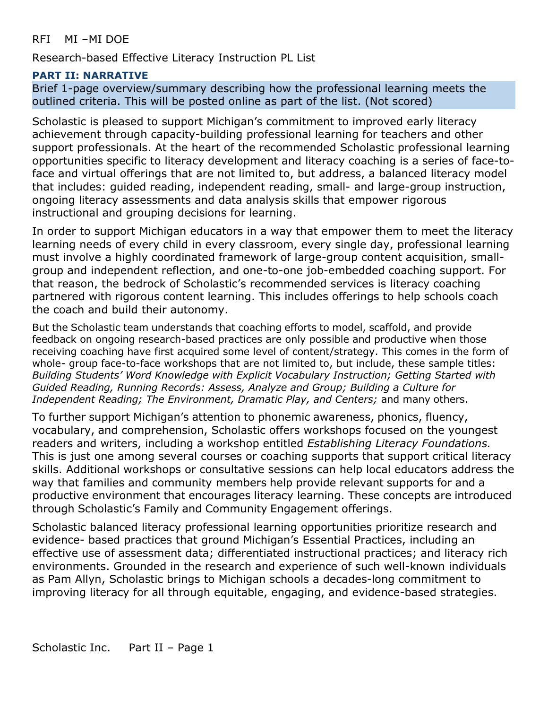# <span id="page-21-0"></span>RFI MI –MI DOE

Research-based Effective Literacy Instruction PL List

# **PART II: NARRATIVE**

Brief 1-page overview/summary describing how the professional learning meets the outlined criteria. This will be posted online as part of the list. (Not scored)

Scholastic is pleased to support Michigan's commitment to improved early literacy achievement through capacity-building professional learning for teachers and other support professionals. At the heart of the recommended Scholastic professional learning opportunities specific to literacy development and literacy coaching is a series of face-toface and virtual offerings that are not limited to, but address, a balanced literacy model that includes: guided reading, independent reading, small- and large-group instruction, ongoing literacy assessments and data analysis skills that empower rigorous instructional and grouping decisions for learning.

In order to support Michigan educators in a way that empower them to meet the literacy learning needs of every child in every classroom, every single day, professional learning must involve a highly coordinated framework of large-group content acquisition, smallgroup and independent reflection, and one-to-one job-embedded coaching support. For that reason, the bedrock of Scholastic's recommended services is literacy coaching partnered with rigorous content learning. This includes offerings to help schools coach the coach and build their autonomy.

But the Scholastic team understands that coaching efforts to model, scaffold, and provide feedback on ongoing research-based practices are only possible and productive when those receiving coaching have first acquired some level of content/strategy. This comes in the form of whole- group face-to-face workshops that are not limited to, but include, these sample titles: *Building Students' Word Knowledge with Explicit Vocabulary Instruction; Getting Started with Guided Reading, Running Records: Assess, Analyze and Group; Building a Culture for Independent Reading; The Environment, Dramatic Play, and Centers;* and many others.

To further support Michigan's attention to phonemic awareness, phonics, fluency, vocabulary, and comprehension, Scholastic offers workshops focused on the youngest readers and writers, including a workshop entitled *Establishing Literacy Foundations.*  This is just one among several courses or coaching supports that support critical literacy skills. Additional workshops or consultative sessions can help local educators address the way that families and community members help provide relevant supports for and a productive environment that encourages literacy learning. These concepts are introduced through Scholastic's Family and Community Engagement offerings.

Scholastic balanced literacy professional learning opportunities prioritize research and evidence- based practices that ground Michigan's Essential Practices, including an effective use of assessment data; differentiated instructional practices; and literacy rich environments. Grounded in the research and experience of such well-known individuals as Pam Allyn, Scholastic brings to Michigan schools a decades-long commitment to improving literacy for all through equitable, engaging, and evidence-based strategies.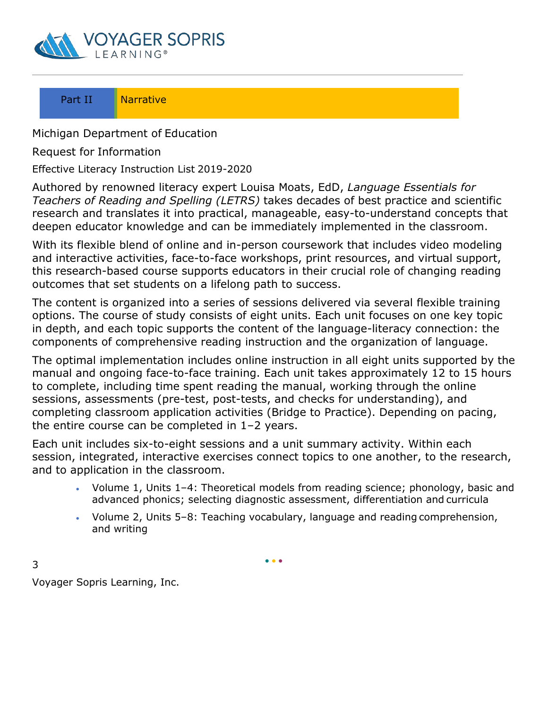<span id="page-22-0"></span>

# Part II Narrative

Michigan Department of Education

Request for Information

Effective Literacy Instruction List 2019-2020

Authored by renowned literacy expert Louisa Moats, EdD, *Language Essentials for Teachers of Reading and Spelling (LETRS)* takes decades of best practice and scientific research and translates it into practical, manageable, easy-to-understand concepts that deepen educator knowledge and can be immediately implemented in the classroom.

With its flexible blend of online and in-person coursework that includes video modeling and interactive activities, face-to-face workshops, print resources, and virtual support, this research-based course supports educators in their crucial role of changing reading outcomes that set students on a lifelong path to success.

The content is organized into a series of sessions delivered via several flexible training options. The course of study consists of eight units. Each unit focuses on one key topic in depth, and each topic supports the content of the language-literacy connection: the components of comprehensive reading instruction and the organization of language.

The optimal implementation includes online instruction in all eight units supported by the manual and ongoing face-to-face training. Each unit takes approximately 12 to 15 hours to complete, including time spent reading the manual, working through the online sessions, assessments (pre-test, post-tests, and checks for understanding), and completing classroom application activities (Bridge to Practice). Depending on pacing, the entire course can be completed in 1–2 years.

Each unit includes six-to-eight sessions and a unit summary activity. Within each session, integrated, interactive exercises connect topics to one another, to the research, and to application in the classroom.

- Volume 1, Units 1–4: Theoretical models from reading science; phonology, basic and advanced phonics; selecting diagnostic assessment, differentiation and curricula
- Volume 2, Units 5–8: Teaching vocabulary, language and reading comprehension, and writing

 $• • •$ 

Voyager Sopris Learning, Inc.

3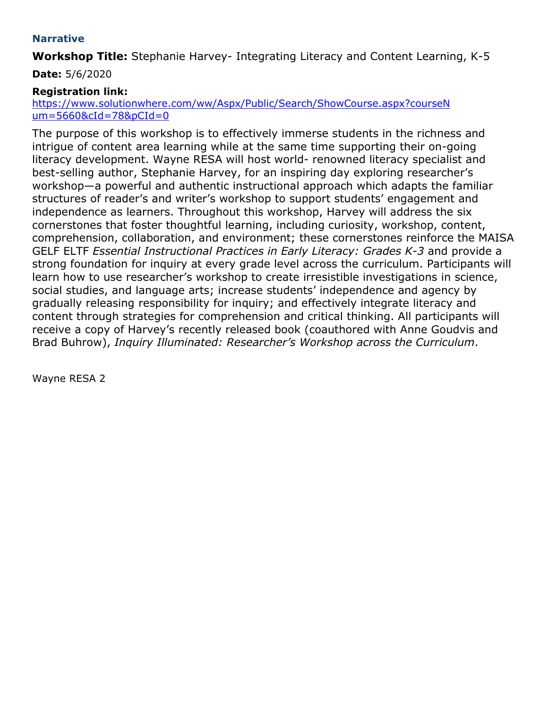#### <span id="page-23-0"></span>**Narrative**

**Workshop Title:** Stephanie Harvey- Integrating Literacy and Content Learning, K-5

**Date:** 5/6/2020

# **Registration link:**

[https://www.solutionwhere.com/ww/Aspx/Public/Search/ShowCourse.aspx?courseN](https://www.solutionwhere.com/ww/Aspx/Public/Search/ShowCourse.aspx?courseNum=5660&cId=78&pCId=0) [um=5660&cId=78&pCId=0](https://www.solutionwhere.com/ww/Aspx/Public/Search/ShowCourse.aspx?courseNum=5660&cId=78&pCId=0)

The purpose of this workshop is to effectively immerse students in the richness and intrigue of content area learning while at the same time supporting their on-going literacy development. Wayne RESA will host world- renowned literacy specialist and best-selling author, Stephanie Harvey, for an inspiring day exploring researcher's workshop—a powerful and authentic instructional approach which adapts the familiar structures of reader's and writer's workshop to support students' engagement and independence as learners. Throughout this workshop, Harvey will address the six cornerstones that foster thoughtful learning, including curiosity, workshop, content, comprehension, collaboration, and environment; these cornerstones reinforce the MAISA GELF ELTF *Essential Instructional Practices in Early Literacy: Grades K-3* and provide a strong foundation for inquiry at every grade level across the curriculum. Participants will learn how to use researcher's workshop to create irresistible investigations in science, social studies, and language arts; increase students' independence and agency by gradually releasing responsibility for inquiry; and effectively integrate literacy and content through strategies for comprehension and critical thinking. All participants will receive a copy of Harvey's recently released book (coauthored with Anne Goudvis and Brad Buhrow), *Inquiry Illuminated: Researcher's Workshop across the Curriculum*.

Wayne RESA 2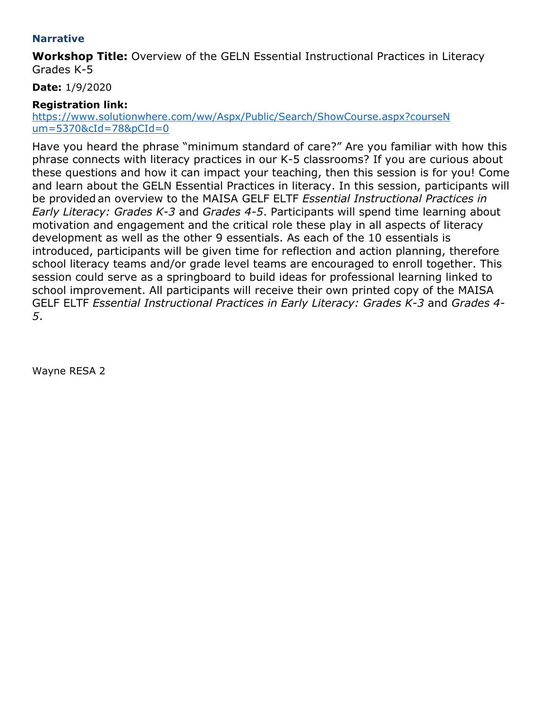#### **Narrative**

**Workshop Title:** Overview of the GELN Essential Instructional Practices in Literacy Grades K-5

**Date:** 1/9/2020

# **Registration link:**

[https://www.solutionwhere.com/ww/Aspx/Public/Search/ShowCourse.aspx?courseN](https://www.solutionwhere.com/ww/Aspx/Public/Search/ShowCourse.aspx?courseNum=5370&cId=78&pCId=0) [um=5370&cId=78&pCId=0](https://www.solutionwhere.com/ww/Aspx/Public/Search/ShowCourse.aspx?courseNum=5370&cId=78&pCId=0)

Have you heard the phrase "minimum standard of care?" Are you familiar with how this phrase connects with literacy practices in our K-5 classrooms? If you are curious about these questions and how it can impact your teaching, then this session is for you! Come and learn about the GELN Essential Practices in literacy. In this session, participants will be provided an overview to the MAISA GELF ELTF *Essential Instructional Practices in Early Literacy: Grades K-3* and *Grades 4-5*. Participants will spend time learning about motivation and engagement and the critical role these play in all aspects of literacy development as well as the other 9 essentials. As each of the 10 essentials is introduced, participants will be given time for reflection and action planning, therefore school literacy teams and/or grade level teams are encouraged to enroll together. This session could serve as a springboard to build ideas for professional learning linked to school improvement. All participants will receive their own printed copy of the MAISA GELF ELTF *Essential Instructional Practices in Early Literacy: Grades K-3* and *Grades 4- 5*.

Wayne RESA 2